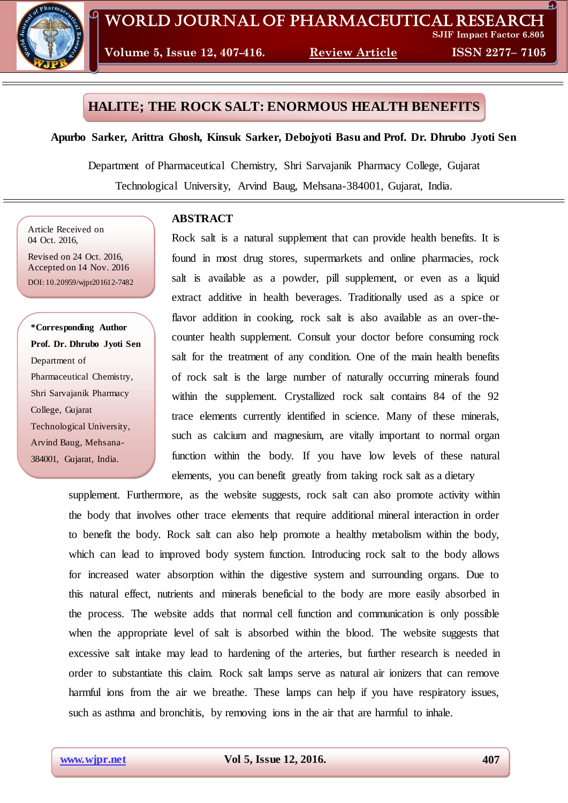

**Volume 5, Issue 12, 407-416. Review Article****ISSN 2277– 7105**

# **HALITE; THE ROCK SALT: ENORMOUS HEALTH BENEFITS**

**Apurbo Sarker, Arittra Ghosh, Kinsuk Sarker, Debojyoti Basu and Prof. Dr. Dhrubo Jyoti Sen**

Department of Pharmaceutical Chemistry, Shri Sarvajanik Pharmacy College, Gujarat Technological University, Arvind Baug, Mehsana-384001, Gujarat, India.

Article Received on 04 Oct. 2016,

Revised on 24 Oct. 2016, Accepted on 14 Nov. 2016 DOI: 10.20959/wjpr201612-7482

**\*Corresponding Author Prof. Dr. Dhrubo Jyoti Sen** Department of Pharmaceutical Chemistry, Shri Sarvajanik Pharmacy College, Gujarat Technological University, Arvind Baug, Mehsana-384001, Gujarat, India.

# **ABSTRACT**

Rock salt is a natural supplement that can provide health benefits. It is found in most drug stores, supermarkets and online pharmacies, rock salt is available as a powder, pill supplement, or even as a liquid extract additive in health beverages. Traditionally used as a spice or flavor addition in cooking, rock salt is also available as an over-thecounter health supplement. Consult your doctor before consuming rock salt for the treatment of any condition. One of the main health benefits of rock salt is the large number of naturally occurring minerals found within the supplement. Crystallized rock salt contains 84 of the 92 trace elements currently identified in science. Many of these minerals, such as calcium and magnesium, are vitally important to normal organ function within the body. If you have low levels of these natural elements, you can benefit greatly from taking rock salt as a dietary

supplement. Furthermore, as the website suggests, rock salt can also promote activity within the body that involves other trace elements that require additional mineral interaction in order to benefit the body. Rock salt can also help promote a healthy metabolism within the body, which can lead to improved body system function. Introducing rock salt to the body allows for increased water absorption within the digestive system and surrounding organs. Due to this natural effect, nutrients and minerals beneficial to the body are more easily absorbed in the process. The website adds that normal cell function and communication is only possible when the appropriate level of salt is absorbed within the blood. The website suggests that excessive salt intake may lead to hardening of the arteries, but further research is needed in order to substantiate this claim. Rock salt lamps serve as natural air ionizers that can remove harmful ions from the air we breathe. These lamps can help if you have respiratory issues, such as asthma and bronchitis, by removing ions in the air that are harmful to inhale.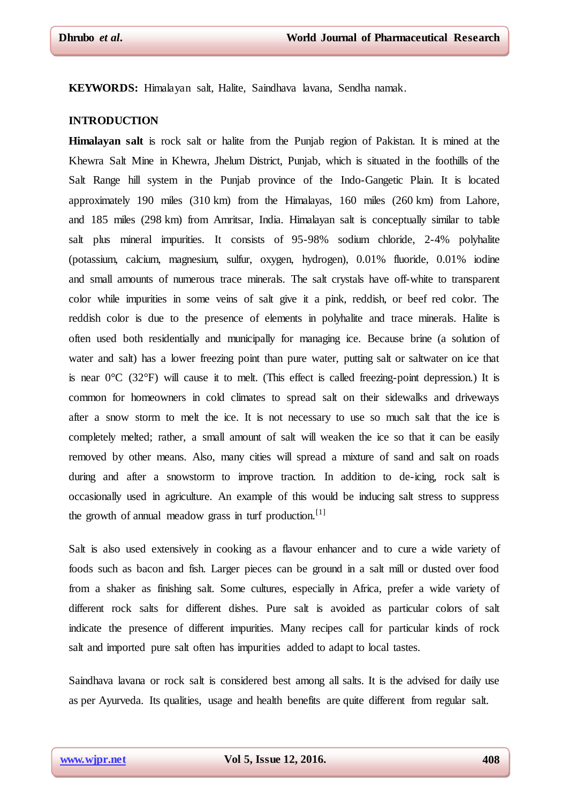**KEYWORDS:** Himalayan salt, Halite, Saindhava lavana, Sendha namak.

### **INTRODUCTION**

**Himalayan salt** is rock salt or halite from the Punjab region of Pakistan. It is mined at the Khewra Salt Mine in Khewra, Jhelum District, Punjab, which is situated in the foothills of the Salt Range hill system in the Punjab province of the Indo-Gangetic Plain. It is located approximately 190 miles (310 km) from the Himalayas, 160 miles (260 km) from Lahore, and 185 miles (298 km) from Amritsar, India. Himalayan salt is conceptually similar to [table](https://en.wikipedia.org/wiki/Table_salt)  [salt](https://en.wikipedia.org/wiki/Table_salt) plus mineral impurities. It consists of 95-98% sodium chloride, 2-4% polyhalite (potassium, calcium, magnesium, sulfur, oxygen, hydrogen), 0.01% fluoride, 0.01% iodine and small amounts of numerous trace minerals. The salt crystals have off-white to transparent color while impurities in some veins of salt give it a pink, reddish, or beef red color. The reddish color is due to the presence of elements in polyhalite and trace minerals. Halite is often used both residentially and municipally for managing ice. Because brine (a solution of water and salt) has a lower freezing point than pure water, putting salt or saltwater on ice that is near  $0^{\circ}$ C (32 $^{\circ}$ F) will cause it to melt. (This effect is called freezing-point depression.) It is common for homeowners in cold climates to spread salt on their sidewalks and driveways after a snow storm to melt the ice. It is not necessary to use so much salt that the ice is completely melted; rather, a small amount of salt will weaken the ice so that it can be easily removed by other means. Also, many cities will spread a mixture of sand and salt on roads during and after a snowstorm to improve traction. In addition to de-icing, rock salt is occasionally used in agriculture. An example of this would be inducing salt stress to suppress the growth of annual meadow grass in turf production. $[1]$ 

Salt is also used extensively in cooking as a flavour enhancer and to cure a wide variety of foods such as bacon and fish. Larger pieces can be ground in a salt mill or dusted over food from a shaker as finishing salt. Some cultures, especially in Africa, prefer a wide variety of different rock salts for different dishes. Pure salt is avoided as particular colors of salt indicate the presence of different impurities. Many recipes call for particular kinds of rock salt and imported pure salt often has impurities added to adapt to local tastes.

Saindhava lavana or rock salt is considered best among all salts. It is the advised for daily use as per Ayurveda. Its qualities, usage and health benefits are quite different from regular salt.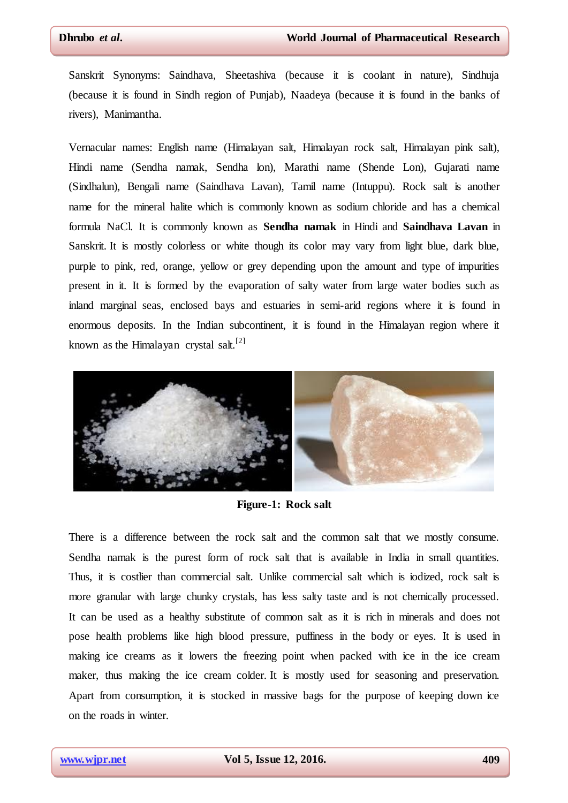Sanskrit Synonyms: Saindhava, Sheetashiva (because it is coolant in nature), Sindhuja (because it is found in Sindh region of Punjab), Naadeya (because it is found in the banks of rivers), Manimantha.

Vernacular names: English name (Himalayan salt, Himalayan rock salt, Himalayan pink salt), Hindi name (Sendha namak, Sendha lon), Marathi name (Shende Lon), Gujarati name (Sindhalun), Bengali name (Saindhava Lavan), Tamil name (Intuppu). Rock salt is another name for the mineral halite which is commonly known as sodium chloride and has a chemical formula NaCl. It is commonly known as **Sendha namak** in Hindi and **Saindhava Lavan** in Sanskrit. It is mostly colorless or white though its color may vary from light blue, dark blue, purple to pink, red, orange, yellow or grey depending upon the amount and type of impurities present in it. It is formed by the evaporation of salty water from large water bodies such as inland marginal seas, enclosed bays and estuaries in semi-arid regions where it is found in enormous deposits. In the Indian subcontinent, it is found in the Himalayan region where it known as the Himalayan crystal salt.<sup>[2]</sup>



**Figure-1: Rock salt**

There is a difference between the rock salt and the common salt that we mostly consume. Sendha namak is the purest form of rock salt that is available in India in small quantities. Thus, it is costlier than commercial salt. Unlike commercial salt which is iodized, rock salt is more granular with large chunky crystals, has less salty taste and is not chemically processed. It can be used as a healthy substitute of common salt as it is rich in minerals and does not pose health problems like high blood pressure, puffiness in the body or eyes. It is used in making ice creams as it lowers the freezing point when packed with ice in the ice cream maker, thus making the ice cream colder. It is mostly used for seasoning and preservation. Apart from consumption, it is stocked in massive bags for the purpose of keeping down ice on the roads in winter.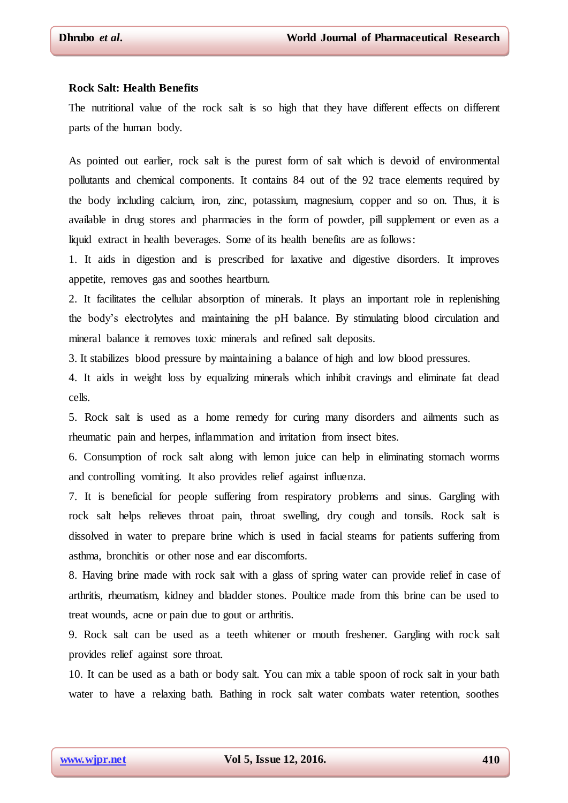# **Rock Salt: Health Benefits**

The nutritional value of the rock salt is so high that they have different effects on different parts of the human body.

As pointed out earlier, rock salt is the purest form of salt which is devoid of environmental pollutants and chemical components. It contains 84 out of the 92 trace elements required by the body including calcium, iron, zinc, potassium, magnesium, copper and so on. Thus, it is available in drug stores and pharmacies in the form of powder, pill supplement or even as a liquid extract in health beverages. Some of its health benefits are as follows:

1. It aids in digestion and is prescribed for laxative and digestive disorders. It improves appetite, removes gas and soothes heartburn.

2. It facilitates the cellular absorption of minerals. It plays an important role in replenishing the body's electrolytes and maintaining the pH balance. By stimulating blood circulation and mineral balance it removes toxic minerals and refined salt deposits.

3. It stabilizes blood pressure by maintaining a balance of high and low blood pressures.

4. It aids in weight loss by equalizing minerals which inhibit cravings and eliminate fat dead cells.

5. Rock salt is used as a home remedy for curing many disorders and ailments such as rheumatic pain and herpes, inflammation and irritation from insect bites.

6. Consumption of rock salt along with lemon juice can help in eliminating stomach worms and controlling vomiting. It also provides relief against influenza.

7. It is beneficial for people suffering from respiratory problems and sinus. Gargling with rock salt helps relieves throat pain, throat swelling, dry cough and tonsils. Rock salt is dissolved in water to prepare brine which is used in facial steams for patients suffering from asthma, bronchitis or other nose and ear discomforts.

8. Having brine made with rock salt with a glass of spring water can provide relief in case of arthritis, rheumatism, kidney and bladder stones. Poultice made from this brine can be used to treat wounds, acne or pain due to gout or arthritis.

9. Rock salt can be used as a teeth whitener or mouth freshener. Gargling with rock salt provides relief against sore throat.

10. It can be used as a bath or body salt. You can mix a table spoon of rock salt in your bath water to have a relaxing bath. Bathing in rock salt water combats water retention, soothes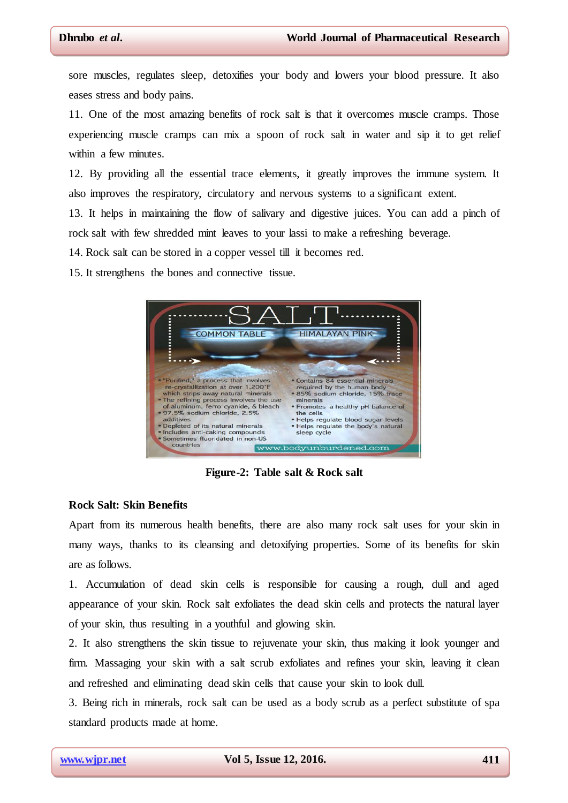sore muscles, regulates sleep, detoxifies your body and lowers your blood pressure. It also eases stress and body pains.

11. One of the most amazing benefits of rock salt is that it overcomes muscle cramps. Those experiencing muscle cramps can mix a spoon of rock salt in water and sip it to get relief within a few minutes.

12. By providing all the essential trace elements, it greatly improves the immune system. It also improves the respiratory, circulatory and nervous systems to a significant extent.

13. It helps in maintaining the flow of salivary and digestive juices. You can add a pinch of rock salt with few shredded mint leaves to your lassi to make a refreshing beverage.

14. Rock salt can be stored in a copper vessel till it becomes red.

15. It strengthens the bones and connective tissue.



**Figure-2: Table salt & Rock salt**

## **Rock Salt: Skin Benefits**

Apart from its numerous health benefits, there are also many rock salt uses for your skin in many ways, thanks to its cleansing and detoxifying properties. Some of its benefits for skin are as follows.

1. Accumulation of dead skin cells is responsible for causing a rough, dull and aged appearance of your skin. Rock salt exfoliates the dead skin cells and protects the natural layer of your skin, thus resulting in a youthful and glowing skin.

2. It also strengthens the skin tissue to rejuvenate your skin, thus making it look younger and firm. Massaging your skin with a salt scrub exfoliates and refines your skin, leaving it clean and refreshed and eliminating dead skin cells that cause your skin to look dull.

3. Being rich in minerals, rock salt can be used as a body scrub as a perfect substitute of spa standard products made at home.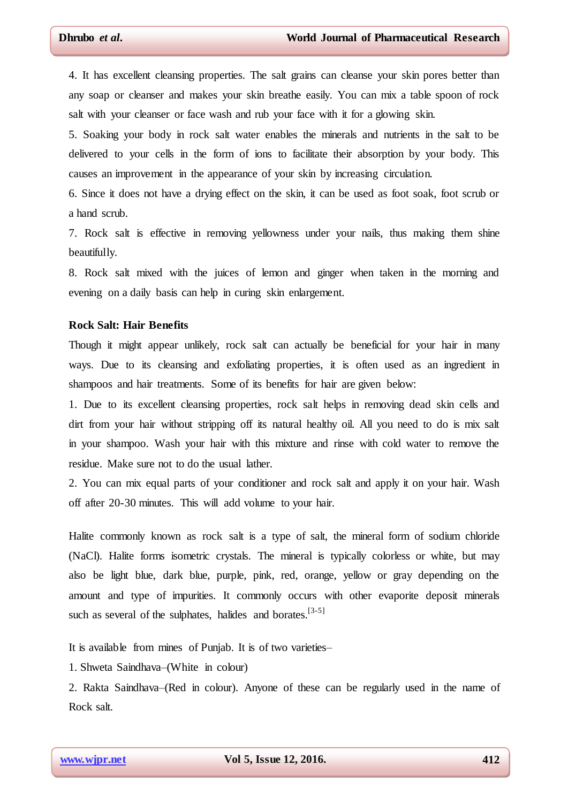4. It has excellent cleansing properties. The salt grains can cleanse your skin pores better than any soap or cleanser and makes your skin breathe easily. You can mix a table spoon of rock salt with your cleanser or face wash and rub your face with it for a glowing skin.

5. Soaking your body in rock salt water enables the minerals and nutrients in the salt to be delivered to your cells in the form of ions to facilitate their absorption by your body. This causes an improvement in the appearance of your skin by increasing circulation.

6. Since it does not have a drying effect on the skin, it can be used as foot soak, foot scrub or a hand scrub.

7. Rock salt is effective in removing yellowness under your nails, thus making them shine beautifully.

8. Rock salt mixed with the juices of lemon and ginger when taken in the morning and evening on a daily basis can help in curing skin enlargement.

# **Rock Salt: Hair Benefits**

Though it might appear unlikely, rock salt can actually be beneficial for your hair in many ways. Due to its cleansing and exfoliating properties, it is often used as an ingredient in shampoos and hair treatments. Some of its benefits for hair are given below:

1. Due to its excellent cleansing properties, rock salt helps in removing dead skin cells and dirt from your hair without stripping off its natural healthy oil. All you need to do is mix salt in your shampoo. Wash your hair with this mixture and rinse with cold water to remove the residue. Make sure not to do the usual lather.

2. You can mix equal parts of your conditioner and rock salt and apply it on your hair. Wash off after 20-30 minutes. This will add volume to your hair.

Halite commonly known as rock salt is a type of salt, the mineral form of sodium chloride (NaCl). Halite forms isometric crystals. The mineral is typically colorless or white, but may also be light blue, dark blue, purple, pink, red, orange, yellow or gray depending on the amount and type of impurities. It commonly occurs with other evaporite deposit minerals such as several of the sulphates, halides and borates.<sup>[3-5]</sup>

It is available from mines of Punjab. It is of two varieties–

1. Shweta Saindhava–(White in colour)

2. Rakta Saindhava–(Red in colour). Anyone of these can be regularly used in the name of Rock salt.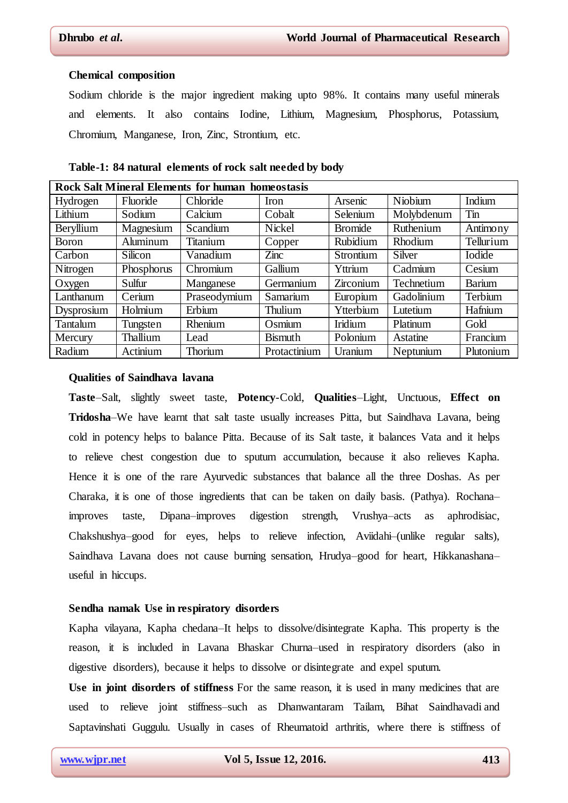#### **Chemical composition**

Sodium chloride is the major ingredient making upto 98%. It contains many useful minerals and elements. It also contains Iodine, Lithium, Magnesium, Phosphorus, Potassium, Chromium, Manganese, Iron, Zinc, Strontium, etc.

| <b>Rock Salt Mineral Elements for human homeostasis</b> |            |                |                 |                |                |               |
|---------------------------------------------------------|------------|----------------|-----------------|----------------|----------------|---------------|
| Hydrogen                                                | Fluoride   | Chloride       | <b>Iron</b>     | Arsenic        | <b>Niobium</b> | Indium        |
| Lithium                                                 | Sodium     | Calcium        | Cobalt          | Selenium       | Molybdenum     | Tin           |
| Beryllium                                               | Magnesium  | Scandium       | <b>Nickel</b>   | <b>Bromide</b> | Ruthenium      | Antimony      |
| <b>Boron</b>                                            | Aluminum   | Titanium       | Copper          | Rubidium       | Rhodium        | Tellurium     |
| Carbon                                                  | Silicon    | Vanadium       | $\mathsf{Zinc}$ | Strontium      | Silver         | Iodide        |
| Nitrogen                                                | Phosphorus | Chromium       | Gallium         | Yttrium        | Cadmium        | Cesium        |
| Oxygen                                                  | Sulfur     | Manganese      | Germanium       | Zirconium      | Technetium     | <b>Barium</b> |
| Lanthanum                                               | Cerium     | Praseodymium   | Samarium        | Europium       | Gadolinium     | Terbium       |
| Dysprosium                                              | Holmium    | Erbium         | Thulium         | Ytterbium      | Lutetium       | Hafnium       |
| Tantalum                                                | Tungsten   | Rhenium        | Osmium          | <b>Iridium</b> | Platinum       | Gold          |
| Mercury                                                 | Thallium   | Lead           | <b>Bismuth</b>  | Polonium       | Astatine       | Francium      |
| Radium                                                  | Actinium   | <b>Thorium</b> | Protactinium    | Uranium        | Neptunium      | Plutonium     |

**Table-1: 84 natural elements of rock salt needed by body** 

#### **Qualities of Saindhava lavana**

**Taste**–Salt, slightly sweet taste, **Potency**-Cold, **Qualities**–Light, Unctuous, **Effect on Tridosha**–We have learnt that salt taste usually increases Pitta, but Saindhava Lavana, being cold in potency helps to balance Pitta. Because of its Salt taste, it balances Vata and it helps to relieve chest congestion due to sputum accumulation, because it also relieves Kapha. Hence it is one of the rare Ayurvedic substances that balance all the three Doshas. As per Charaka, it is one of those ingredients that can be taken on daily basis. (Pathya). Rochana– improves taste, Dipana–improves digestion strength, Vrushya–acts as aphrodisiac, Chakshushya–good for eyes, helps to relieve infection, Aviidahi–(unlike regular salts), Saindhava Lavana does not cause burning sensation, Hrudya–good for heart, Hikkanashana– useful in hiccups.

### **Sendha namak Use in respiratory disorders**

Kapha vilayana, Kapha chedana–It helps to dissolve/disintegrate Kapha. This property is the reason, it is included in Lavana Bhaskar Churna–used in respiratory disorders (also in digestive disorders), because it helps to dissolve or disintegrate and expel sputum.

**Use in joint disorders of stiffness** For the same reason, it is used in many medicines that are used to relieve joint stiffness–such as Dhanwantaram Tailam, Bihat Saindhavadi and Saptavinshati Guggulu. Usually in cases of Rheumatoid arthritis, where there is stiffness of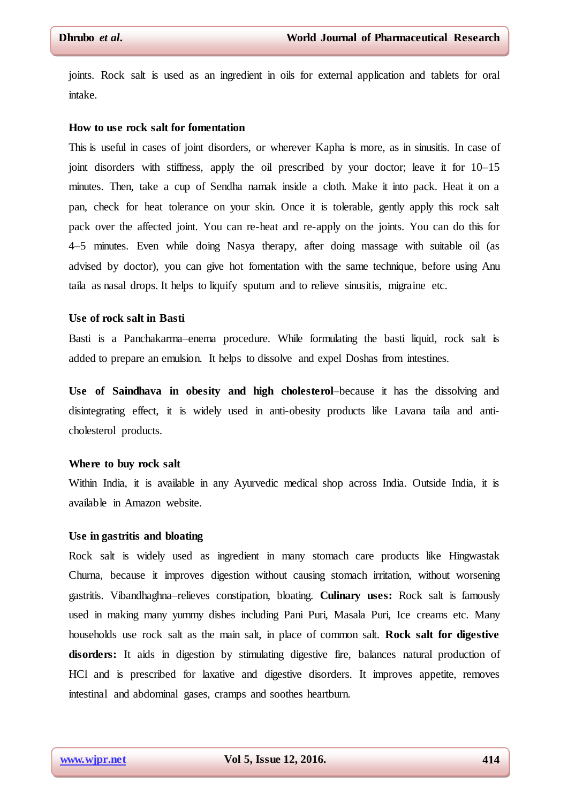joints. Rock salt is used as an ingredient in oils for external application and tablets for oral intake.

#### **How to use rock salt for fomentation**

This is useful in cases of joint disorders, or wherever Kapha is more, as in sinusitis. In case of joint disorders with stiffness, apply the oil prescribed by your doctor; leave it for 10–15 minutes. Then, take a cup of Sendha namak inside a cloth. Make it into pack. Heat it on a pan, check for heat tolerance on your skin. Once it is tolerable, gently apply this rock salt pack over the affected joint. You can re-heat and re-apply on the joints. You can do this for 4–5 minutes. Even while doing Nasya therapy, after doing massage with suitable oil (as advised by doctor), you can give hot fomentation with the same technique, before using Anu taila as nasal drops. It helps to liquify sputum and to relieve sinusitis, migraine etc.

## **Use of rock salt in Basti**

Basti is a Panchakarma–enema procedure. While formulating the basti liquid, rock salt is added to prepare an emulsion. It helps to dissolve and expel Doshas from intestines.

**Use of Saindhava in obesity and high cholesterol**–because it has the dissolving and disintegrating effect, it is widely used in anti-obesity products like Lavana taila and anticholesterol products.

### **Where to buy rock salt**

Within India, it is available in any Ayurvedic medical shop across India. Outside India, it is available in Amazon website.

### **Use in gastritis and bloating**

Rock salt is widely used as ingredient in many stomach care products like Hingwastak Churna, because it improves digestion without causing stomach irritation, without worsening gastritis. Vibandhaghna–relieves constipation, bloating. **Culinary uses:** Rock salt is famously used in making many yummy dishes including Pani Puri, Masala Puri, Ice creams etc. Many households use rock salt as the main salt, in place of common salt. **Rock salt for digestive disorders:** It aids in digestion by stimulating digestive fire, balances natural production of HCl and is prescribed for laxative and digestive disorders. It improves appetite, removes intestinal and abdominal gases, cramps and soothes heartburn.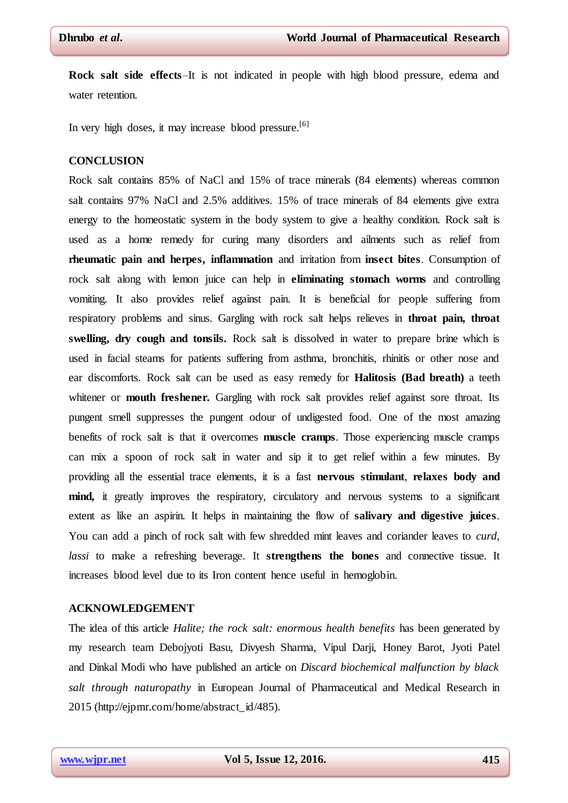**Rock salt side effects**–It is not indicated in people with high blood pressure, edema and water retention.

In very high doses, it may increase blood pressure.<sup>[6]</sup>

## **CONCLUSION**

Rock salt contains 85% of NaCl and 15% of trace minerals (84 elements) whereas common salt contains 97% NaCl and 2.5% additives. 15% of trace minerals of 84 elements give extra energy to the homeostatic system in the body system to give a healthy condition. Rock salt is used as a home remedy for curing many disorders and ailments such as relief from **rheumatic pain and herpes, inflammation** and irritation from **insect bites**. Consumption of rock salt along with lemon juice can help in **eliminating stomach worms** and controlling vomiting. It also provides relief against pain. It is beneficial for people suffering from respiratory problems and sinus. Gargling with rock salt helps relieves in **throat pain, throat**  swelling, dry cough and tonsils. Rock salt is dissolved in water to prepare brine which is used in facial steams for patients suffering from asthma, bronchitis, rhinitis or other nose and ear discomforts. Rock salt can be used as easy remedy for **Halitosis (Bad breath)** a teeth whitener or **mouth freshener.** Gargling with rock salt provides relief against sore throat. Its pungent smell suppresses the pungent odour of undigested food. One of the most amazing benefits of rock salt is that it overcomes **muscle cramps**. Those experiencing muscle cramps can mix a spoon of rock salt in water and sip it to get relief within a few minutes. By providing all the essential trace elements, it is a fast **nervous stimulant**, **relaxes body and mind,** it greatly improves the respiratory, circulatory and nervous systems to a significant extent as like an aspirin. It helps in maintaining the flow of **salivary and digestive juices**. You can add a pinch of rock salt with few shredded mint leaves and coriander leaves to *curd, lassi* to make a refreshing beverage. It **strengthens the bones** and connective tissue. It increases blood level due to its Iron content hence useful in hemoglobin.

# **ACKNOWLEDGEMENT**

The idea of this article *Halite; the rock salt: enormous health benefits* has been generated by my research team Debojyoti Basu, Divyesh Sharma, Vipul Darji, Honey Barot, Jyoti Patel and Dinkal Modi who have published an article on *Discard biochemical malfunction by black salt through naturopathy* in European Journal of Pharmaceutical and Medical Research in 2015 (http://ejpmr.com/home/abstract\_id/485).